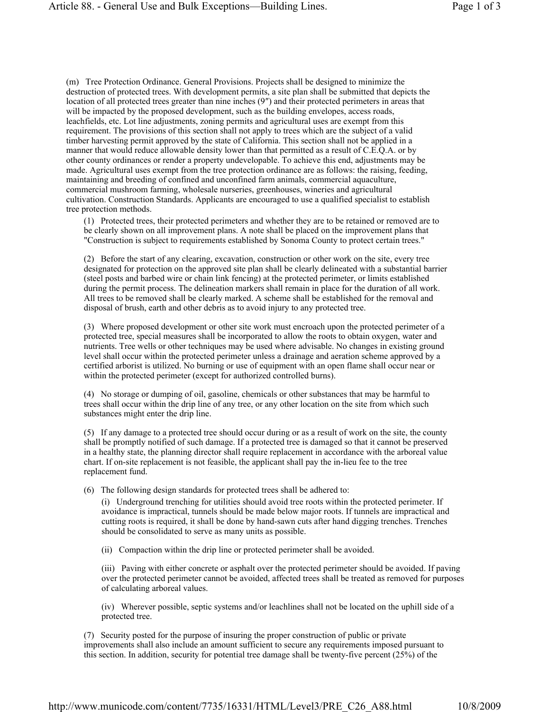(m) Tree Protection Ordinance. General Provisions. Projects shall be designed to minimize the destruction of protected trees. With development permits, a site plan shall be submitted that depicts the location of all protected trees greater than nine inches (9″) and their protected perimeters in areas that will be impacted by the proposed development, such as the building envelopes, access roads, leachfields, etc. Lot line adjustments, zoning permits and agricultural uses are exempt from this requirement. The provisions of this section shall not apply to trees which are the subject of a valid timber harvesting permit approved by the state of California. This section shall not be applied in a manner that would reduce allowable density lower than that permitted as a result of C.E.Q.A. or by other county ordinances or render a property undevelopable. To achieve this end, adjustments may be made. Agricultural uses exempt from the tree protection ordinance are as follows: the raising, feeding, maintaining and breeding of confined and unconfined farm animals, commercial aquaculture, commercial mushroom farming, wholesale nurseries, greenhouses, wineries and agricultural cultivation. Construction Standards. Applicants are encouraged to use a qualified specialist to establish tree protection methods.

(1) Protected trees, their protected perimeters and whether they are to be retained or removed are to be clearly shown on all improvement plans. A note shall be placed on the improvement plans that "Construction is subject to requirements established by Sonoma County to protect certain trees."

(2) Before the start of any clearing, excavation, construction or other work on the site, every tree designated for protection on the approved site plan shall be clearly delineated with a substantial barrier (steel posts and barbed wire or chain link fencing) at the protected perimeter, or limits established during the permit process. The delineation markers shall remain in place for the duration of all work. All trees to be removed shall be clearly marked. A scheme shall be established for the removal and disposal of brush, earth and other debris as to avoid injury to any protected tree.

(3) Where proposed development or other site work must encroach upon the protected perimeter of a protected tree, special measures shall be incorporated to allow the roots to obtain oxygen, water and nutrients. Tree wells or other techniques may be used where advisable. No changes in existing ground level shall occur within the protected perimeter unless a drainage and aeration scheme approved by a certified arborist is utilized. No burning or use of equipment with an open flame shall occur near or within the protected perimeter (except for authorized controlled burns).

(4) No storage or dumping of oil, gasoline, chemicals or other substances that may be harmful to trees shall occur within the drip line of any tree, or any other location on the site from which such substances might enter the drip line.

(5) If any damage to a protected tree should occur during or as a result of work on the site, the county shall be promptly notified of such damage. If a protected tree is damaged so that it cannot be preserved in a healthy state, the planning director shall require replacement in accordance with the arboreal value chart. If on-site replacement is not feasible, the applicant shall pay the in-lieu fee to the tree replacement fund.

(6) The following design standards for protected trees shall be adhered to:

(i) Underground trenching for utilities should avoid tree roots within the protected perimeter. If avoidance is impractical, tunnels should be made below major roots. If tunnels are impractical and cutting roots is required, it shall be done by hand-sawn cuts after hand digging trenches. Trenches should be consolidated to serve as many units as possible.

(ii) Compaction within the drip line or protected perimeter shall be avoided.

(iii) Paving with either concrete or asphalt over the protected perimeter should be avoided. If paving over the protected perimeter cannot be avoided, affected trees shall be treated as removed for purposes of calculating arboreal values.

(iv) Wherever possible, septic systems and/or leachlines shall not be located on the uphill side of a protected tree.

(7) Security posted for the purpose of insuring the proper construction of public or private improvements shall also include an amount sufficient to secure any requirements imposed pursuant to this section. In addition, security for potential tree damage shall be twenty-five percent (25%) of the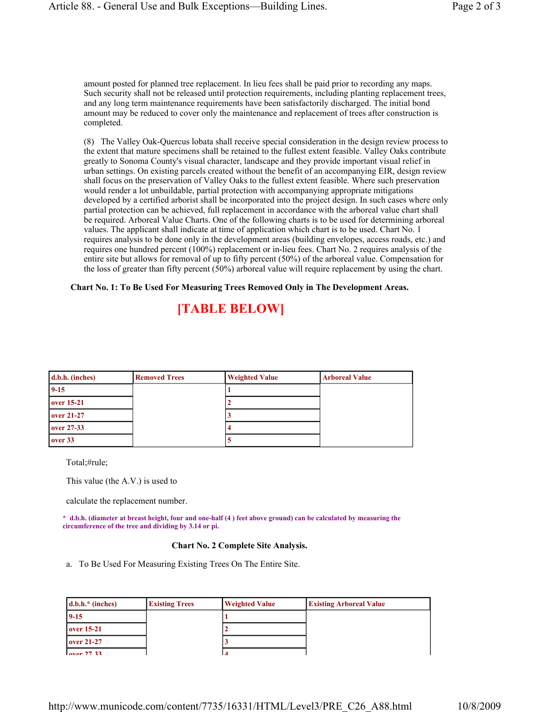amount posted for planned tree replacement. In lieu fees shall be paid prior to recording any maps. Such security shall not be released until protection requirements, including planting replacement trees, and any long term maintenance requirements have been satisfactorily discharged. The initial bond amount may be reduced to cover only the maintenance and replacement of trees after construction is completed.

(8) The Valley Oak-Quercus lobata shall receive special consideration in the design review process to the extent that mature specimens shall be retained to the fullest extent feasible. Valley Oaks contribute greatly to Sonoma County's visual character, landscape and they provide important visual relief in urban settings. On existing parcels created without the benefit of an accompanying EIR, design review shall focus on the preservation of Valley Oaks to the fullest extent feasible. Where such preservation would render a lot unbuildable, partial protection with accompanying appropriate mitigations developed by a certified arborist shall be incorporated into the project design. In such cases where only partial protection can be achieved, full replacement in accordance with the arboreal value chart shall be required. Arboreal Value Charts. One of the following charts is to be used for determining arboreal values. The applicant shall indicate at time of application which chart is to be used. Chart No. 1 requires analysis to be done only in the development areas (building envelopes, access roads, etc.) and requires one hundred percent (100%) replacement or in-lieu fees. Chart No. 2 requires analysis of the entire site but allows for removal of up to fifty percent (50%) of the arboreal value. Compensation for the loss of greater than fifty percent (50%) arboreal value will require replacement by using the chart.

## **Chart No. 1: To Be Used For Measuring Trees Removed Only in The Development Areas.**

## **[TABLE BELOW]**

| d.b.h. (inches) | <b>Removed Trees</b> | <b>Weighted Value</b> | <b>Arboreal Value</b> |
|-----------------|----------------------|-----------------------|-----------------------|
| $9 - 15$        |                      |                       |                       |
| over 15-21      |                      |                       |                       |
| over 21-27      |                      |                       |                       |
| over 27-33      |                      |                       |                       |
| over 33         |                      |                       |                       |

Total;#rule;

This value (the A.V.) is used to

calculate the replacement number.

**\* d.b.h. (diameter at breast height, four and one-half (4 ) feet above ground) can be calculated by measuring the circumference of the tree and dividing by 3.14 or pi.** 

## **Chart No. 2 Complete Site Analysis.**

a. To Be Used For Measuring Existing Trees On The Entire Site.

| $d.b.h.*$ (inches)             | <b>Existing Trees</b> | <b>Weighted Value</b> | <b>Existing Arboreal Value</b> |
|--------------------------------|-----------------------|-----------------------|--------------------------------|
| $9 - 15$                       |                       |                       |                                |
| over 15-21                     |                       |                       |                                |
| $over 21-27$                   |                       |                       |                                |
| $_{\alpha \nu \alpha r}$ 27 33 |                       |                       |                                |